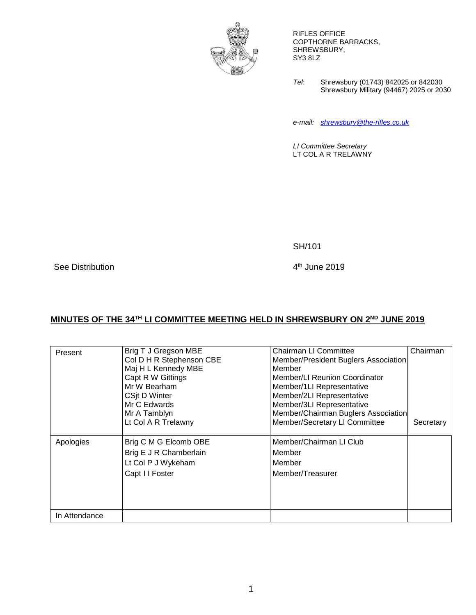

RIFLES OFFICE COPTHORNE BARRACKS, SHREWSBURY, SY3 8LZ

*Tel*: Shrewsbury (01743) 842025 or 842030 Shrewsbury Military (94467) 2025 or 2030

*e-mail: [shrewsbury@the-rifles.co.uk](mailto:shrewsbury@the-rifles.co.uk)*

*LI Committee Secretary* LT COL A R TRELAWNY

SH/101

See Distribution

 $4<sup>th</sup>$  June 2019

## **MINUTES OF THE 34 TH LI COMMITTEE MEETING HELD IN SHREWSBURY ON 2ND JUNE 2019**

|               | Brig T J Gregson MBE     | Chairman LI Committee                | Chairman  |
|---------------|--------------------------|--------------------------------------|-----------|
| Present       |                          |                                      |           |
|               | Col D H R Stephenson CBE | Member/President Buglers Association |           |
|               | Maj H L Kennedy MBE      | Member                               |           |
|               | Capt R W Gittings        | Member/LI Reunion Coordinator        |           |
|               | Mr W Bearham             | Member/1LI Representative            |           |
|               | CSit D Winter            | Member/2LI Representative            |           |
|               | Mr C Edwards             | Member/3LI Representative            |           |
|               | Mr A Tamblyn             | Member/Chairman Buglers Association  |           |
|               | Lt Col A R Trelawny      | Member/Secretary LI Committee        | Secretary |
|               |                          |                                      |           |
| Apologies     | Brig C M G Elcomb OBE    | Member/Chairman LI Club              |           |
|               | Brig E J R Chamberlain   | Member                               |           |
|               | Lt Col P J Wykeham       | Member                               |           |
|               | Capt I I Foster          | Member/Treasurer                     |           |
|               |                          |                                      |           |
|               |                          |                                      |           |
|               |                          |                                      |           |
|               |                          |                                      |           |
| In Attendance |                          |                                      |           |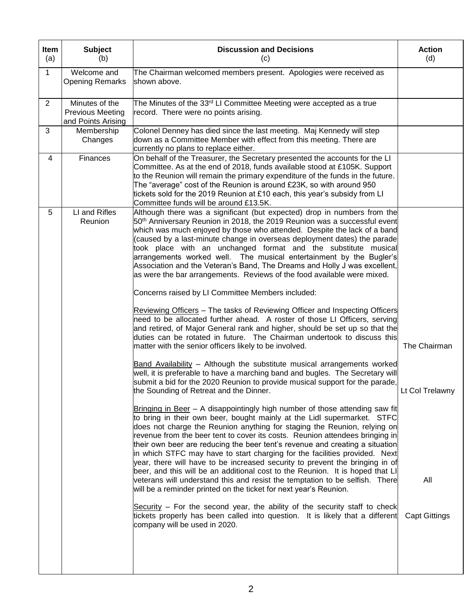| Item<br>(a)  | <b>Subject</b><br>(b)                                           | <b>Discussion and Decisions</b><br>(c)                                                                                                                                                                                                                                                                                                                                                                                                                                                                                                                                                                                                            | <b>Action</b><br>(d) |
|--------------|-----------------------------------------------------------------|---------------------------------------------------------------------------------------------------------------------------------------------------------------------------------------------------------------------------------------------------------------------------------------------------------------------------------------------------------------------------------------------------------------------------------------------------------------------------------------------------------------------------------------------------------------------------------------------------------------------------------------------------|----------------------|
| $\mathbf{1}$ | Welcome and<br><b>Opening Remarks</b>                           | The Chairman welcomed members present. Apologies were received as<br>shown above.                                                                                                                                                                                                                                                                                                                                                                                                                                                                                                                                                                 |                      |
| 2            | Minutes of the<br><b>Previous Meeting</b><br>and Points Arising | The Minutes of the 33 <sup>rd</sup> LI Committee Meeting were accepted as a true<br>record. There were no points arising.                                                                                                                                                                                                                                                                                                                                                                                                                                                                                                                         |                      |
| 3            | Membership<br>Changes                                           | Colonel Denney has died since the last meeting. Maj Kennedy will step<br>down as a Committee Member with effect from this meeting. There are<br>currently no plans to replace either.                                                                                                                                                                                                                                                                                                                                                                                                                                                             |                      |
| 4            | Finances                                                        | On behalf of the Treasurer, the Secretary presented the accounts for the LI<br>Committee. As at the end of 2018, funds available stood at £105K. Support<br>to the Reunion will remain the primary expenditure of the funds in the future.<br>The "average" cost of the Reunion is around £23K, so with around 950<br>tickets sold for the 2019 Reunion at £10 each, this year's subsidy from LI<br>Committee funds will be around £13.5K.                                                                                                                                                                                                        |                      |
| 5            | LI and Rifles<br>Reunion                                        | Although there was a significant (but expected) drop in numbers from the<br>50 <sup>th</sup> Anniversary Reunion in 2018, the 2019 Reunion was a successful event<br>which was much enjoyed by those who attended. Despite the lack of a band<br>(caused by a last-minute change in overseas deployment dates) the parade<br>took place with an unchanged format and the substitute musical<br>arrangements worked well. The musical entertainment by the Bugler's<br>Association and the Veteran's Band, The Dreams and Holly J was excellent,<br>as were the bar arrangements. Reviews of the food available were mixed.                        |                      |
|              |                                                                 | Concerns raised by LI Committee Members included:                                                                                                                                                                                                                                                                                                                                                                                                                                                                                                                                                                                                 |                      |
|              |                                                                 | Reviewing Officers - The tasks of Reviewing Officer and Inspecting Officers<br>need to be allocated further ahead. A roster of those LI Officers, serving<br>and retired, of Major General rank and higher, should be set up so that the<br>duties can be rotated in future. The Chairman undertook to discuss this<br>matter with the senior officers likely to be involved.                                                                                                                                                                                                                                                                     | The Chairman         |
|              |                                                                 | Band Availability - Although the substitute musical arrangements worked<br>well, it is preferable to have a marching band and bugles. The Secretary will<br>submit a bid for the 2020 Reunion to provide musical support for the parade,<br>the Sounding of Retreat and the Dinner.                                                                                                                                                                                                                                                                                                                                                               | Lt Col Trelawny      |
|              |                                                                 | Bringing in Beer - A disappointingly high number of those attending saw fit<br>to bring in their own beer, bought mainly at the Lidl supermarket. STFC<br>does not charge the Reunion anything for staging the Reunion, relying on<br>revenue from the beer tent to cover its costs. Reunion attendees bringing in<br>their own beer are reducing the beer tent's revenue and creating a situation<br>in which STFC may have to start charging for the facilities provided. Next<br>year, there will have to be increased security to prevent the bringing in of<br>beer, and this will be an additional cost to the Reunion. It is hoped that LI |                      |
|              |                                                                 | veterans will understand this and resist the temptation to be selfish. There<br>will be a reminder printed on the ticket for next year's Reunion.                                                                                                                                                                                                                                                                                                                                                                                                                                                                                                 | All                  |
|              |                                                                 | Security - For the second year, the ability of the security staff to check<br>tickets properly has been called into question. It is likely that a different<br>company will be used in 2020.                                                                                                                                                                                                                                                                                                                                                                                                                                                      | <b>Capt Gittings</b> |
|              |                                                                 |                                                                                                                                                                                                                                                                                                                                                                                                                                                                                                                                                                                                                                                   |                      |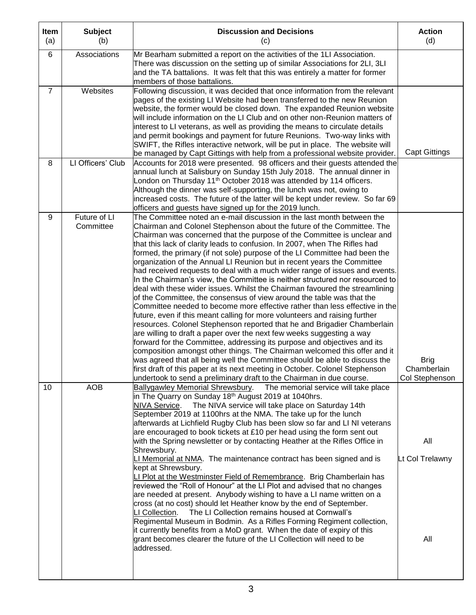| Item<br>(a)    | <b>Subject</b><br>(b)     | <b>Discussion and Decisions</b><br>(c)                                                                                                                                                                                                                                                                                                                                                                                                                                                                                                                                                                                                                                                                                                                                                                                                                                                                                                                                                                                                                                                                                                                                                                                                                                                                                                                                                                                                                                                                     | <b>Action</b><br>(d)                         |
|----------------|---------------------------|------------------------------------------------------------------------------------------------------------------------------------------------------------------------------------------------------------------------------------------------------------------------------------------------------------------------------------------------------------------------------------------------------------------------------------------------------------------------------------------------------------------------------------------------------------------------------------------------------------------------------------------------------------------------------------------------------------------------------------------------------------------------------------------------------------------------------------------------------------------------------------------------------------------------------------------------------------------------------------------------------------------------------------------------------------------------------------------------------------------------------------------------------------------------------------------------------------------------------------------------------------------------------------------------------------------------------------------------------------------------------------------------------------------------------------------------------------------------------------------------------------|----------------------------------------------|
| 6              | Associations              | Mr Bearham submitted a report on the activities of the 1LI Association.<br>There was discussion on the setting up of similar Associations for 2LI, 3LI<br>and the TA battalions. It was felt that this was entirely a matter for former<br>members of those battalions.                                                                                                                                                                                                                                                                                                                                                                                                                                                                                                                                                                                                                                                                                                                                                                                                                                                                                                                                                                                                                                                                                                                                                                                                                                    |                                              |
| $\overline{7}$ | Websites                  | Following discussion, it was decided that once information from the relevant<br>pages of the existing LI Website had been transferred to the new Reunion<br>website, the former would be closed down. The expanded Reunion website<br>will include information on the LI Club and on other non-Reunion matters of<br>interest to LI veterans, as well as providing the means to circulate details<br>and permit bookings and payment for future Reunions. Two-way links with<br>SWIFT, the Rifles interactive network, will be put in place. The website will<br>be managed by Capt Gittings with help from a professional website provider.                                                                                                                                                                                                                                                                                                                                                                                                                                                                                                                                                                                                                                                                                                                                                                                                                                                               | <b>Capt Gittings</b>                         |
| 8              | LI Officers' Club         | Accounts for 2018 were presented. 98 officers and their guests attended the<br>annual lunch at Salisbury on Sunday 15th July 2018. The annual dinner in<br>London on Thursday 11 <sup>th</sup> October 2018 was attended by 114 officers.<br>Although the dinner was self-supporting, the lunch was not, owing to<br>increased costs. The future of the latter will be kept under review. So far 69<br>officers and guests have signed up for the 2019 lunch.                                                                                                                                                                                                                                                                                                                                                                                                                                                                                                                                                                                                                                                                                                                                                                                                                                                                                                                                                                                                                                              |                                              |
| 9              | Future of LI<br>Committee | The Committee noted an e-mail discussion in the last month between the<br>Chairman and Colonel Stephenson about the future of the Committee. The<br>Chairman was concerned that the purpose of the Committee is unclear and<br>that this lack of clarity leads to confusion. In 2007, when The Rifles had<br>formed, the primary (if not sole) purpose of the LI Committee had been the<br>organization of the Annual LI Reunion but in recent years the Committee<br>had received requests to deal with a much wider range of issues and events.<br>In the Chairman's view, the Committee is neither structured nor resourced to<br>deal with these wider issues. Whilst the Chairman favoured the streamlining<br>of the Committee, the consensus of view around the table was that the<br>Committee needed to become more effective rather than less effective in the<br>future, even if this meant calling for more volunteers and raising further<br>resources. Colonel Stephenson reported that he and Brigadier Chamberlain<br>are willing to draft a paper over the next few weeks suggesting a way<br>forward for the Committee, addressing its purpose and objectives and its<br>composition amongst other things. The Chairman welcomed this offer and it<br>was agreed that all being well the Committee should be able to discuss the<br>first draft of this paper at its next meeting in October. Colonel Stephenson<br>undertook to send a preliminary draft to the Chairman in due course. | <b>Brig</b><br>Chamberlain<br>Col Stephenson |
| 10             | <b>AOB</b>                | Ballygawley Memorial Shrewsbury.<br>The memorial service will take place<br>in The Quarry on Sunday 18 <sup>th</sup> August 2019 at 1040hrs.<br>The NIVA service will take place on Saturday 14th<br>NIVA Service.<br>September 2019 at 1100hrs at the NMA. The take up for the lunch<br>afterwards at Lichfield Rugby Club has been slow so far and LI NI veterans<br>are encouraged to book tickets at £10 per head using the form sent out<br>with the Spring newsletter or by contacting Heather at the Rifles Office in<br>Shrewsbury.<br>LI Memorial at NMA. The maintenance contract has been signed and is<br>kept at Shrewsbury.<br>LI Plot at the Westminster Field of Remembrance. Brig Chamberlain has<br>reviewed the "Roll of Honour" at the LI Plot and advised that no changes<br>are needed at present. Anybody wishing to have a LI name written on a<br>cross (at no cost) should let Heather know by the end of September.<br>The LI Collection remains housed at Cornwall's<br>LI Collection.<br>Regimental Museum in Bodmin. As a Rifles Forming Regiment collection,<br>it currently benefits from a MoD grant. When the date of expiry of this<br>grant becomes clearer the future of the LI Collection will need to be<br>addressed.                                                                                                                                                                                                                                              | All<br>Lt Col Trelawny<br>All                |